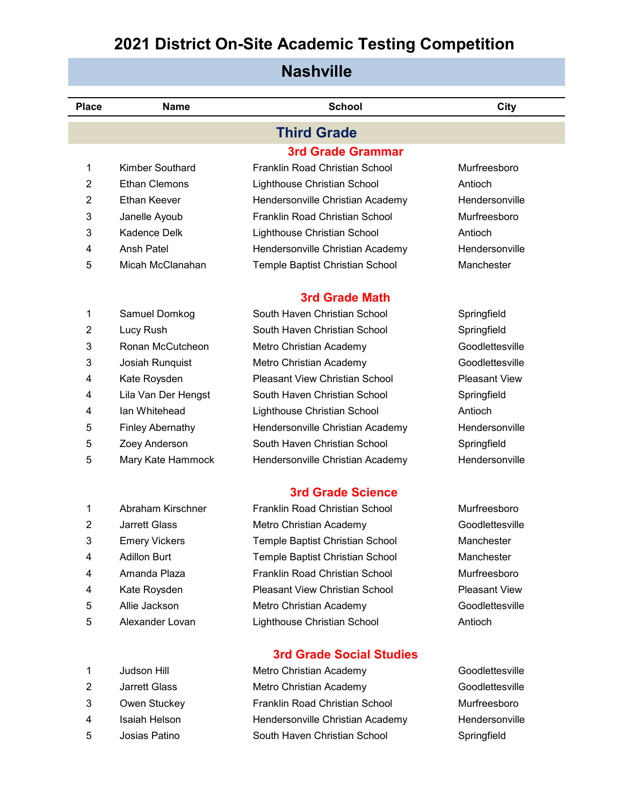| <b>Nashville</b> |                         |                                       |                      |  |
|------------------|-------------------------|---------------------------------------|----------------------|--|
| <b>Place</b>     | <b>Name</b>             | <b>School</b>                         | City                 |  |
|                  |                         | <b>Third Grade</b>                    |                      |  |
|                  |                         | <b>3rd Grade Grammar</b>              |                      |  |
| 1                | <b>Kimber Southard</b>  | Franklin Road Christian School        | Murfreesboro         |  |
| 2                | <b>Ethan Clemons</b>    | Lighthouse Christian School           | Antioch              |  |
| $\overline{2}$   | <b>Ethan Keever</b>     | Hendersonville Christian Academy      | Hendersonville       |  |
| 3                | Janelle Ayoub           | Franklin Road Christian School        | Murfreesboro         |  |
| 3                | <b>Kadence Delk</b>     | Lighthouse Christian School           | Antioch              |  |
| 4                | <b>Ansh Patel</b>       | Hendersonville Christian Academy      | Hendersonville       |  |
| 5                | Micah McClanahan        | Temple Baptist Christian School       | Manchester           |  |
|                  |                         | <b>3rd Grade Math</b>                 |                      |  |
| 1                | Samuel Domkog           | South Haven Christian School          | Springfield          |  |
| $\overline{2}$   | Lucy Rush               | South Haven Christian School          | Springfield          |  |
| 3                | Ronan McCutcheon        | Metro Christian Academy               | Goodlettesville      |  |
| 3                | Josiah Runquist         | Metro Christian Academy               | Goodlettesville      |  |
| 4                | Kate Roysden            | <b>Pleasant View Christian School</b> | <b>Pleasant View</b> |  |
| 4                | Lila Van Der Hengst     | South Haven Christian School          | Springfield          |  |
| 4                | lan Whitehead           | Lighthouse Christian School           | Antioch              |  |
| 5                | <b>Finley Abernathy</b> | Hendersonville Christian Academy      | Hendersonville       |  |
| 5                | Zoey Anderson           | South Haven Christian School          | Springfield          |  |
| 5                | Mary Kate Hammock       | Hendersonville Christian Academy      | Hendersonville       |  |
|                  |                         | <b>3rd Grade Science</b>              |                      |  |
| 1                | Abraham Kirschner       | Franklin Road Christian School        | Murfreesboro         |  |
| $\overline{2}$   | <b>Jarrett Glass</b>    | Metro Christian Academy               | Goodlettesville      |  |
| 3                | <b>Emery Vickers</b>    | Temple Baptist Christian School       | Manchester           |  |
| 4                | <b>Adillon Burt</b>     | Temple Baptist Christian School       | Manchester           |  |
| 4                | Amanda Plaza            | Franklin Road Christian School        | Murfreesboro         |  |
| 4                | Kate Roysden            | <b>Pleasant View Christian School</b> | <b>Pleasant View</b> |  |
| 5                | Allie Jackson           | Metro Christian Academy               | Goodlettesville      |  |
| 5                | Alexander Lovan         | Lighthouse Christian School           | Antioch              |  |
|                  |                         | <b>3rd Grade Social Studies</b>       |                      |  |
| 1                | Judson Hill             | Metro Christian Academy               | Goodlettesville      |  |
| $\overline{2}$   | <b>Jarrett Glass</b>    | Metro Christian Academy               | Goodlettesville      |  |
| 3                | Owen Stuckey            | Franklin Road Christian School        | Murfreesboro         |  |
| 4                | Isaiah Helson           | Hendersonville Christian Academy      | Hendersonville       |  |
| 5                | Josias Patino           | South Haven Christian School          | Springfield          |  |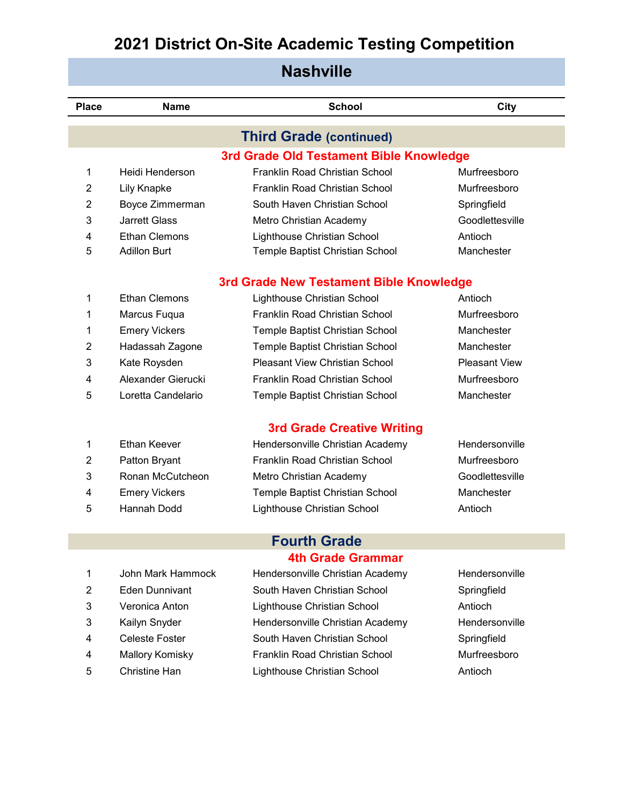| <b>Nashville</b> |                          |                                         |                      |  |  |
|------------------|--------------------------|-----------------------------------------|----------------------|--|--|
| <b>Place</b>     | Name                     | <b>School</b>                           | City                 |  |  |
|                  |                          | <b>Third Grade (continued)</b>          |                      |  |  |
|                  |                          | 3rd Grade Old Testament Bible Knowledge |                      |  |  |
| 1                | Heidi Henderson          | Franklin Road Christian School          | Murfreesboro         |  |  |
| 2                | Lily Knapke              | Franklin Road Christian School          | Murfreesboro         |  |  |
| $\overline{2}$   | Boyce Zimmerman          | South Haven Christian School            | Springfield          |  |  |
| 3                | <b>Jarrett Glass</b>     | Metro Christian Academy                 | Goodlettesville      |  |  |
| 4                | <b>Ethan Clemons</b>     | Lighthouse Christian School             | Antioch              |  |  |
| 5                | <b>Adillon Burt</b>      | Temple Baptist Christian School         | Manchester           |  |  |
|                  |                          | 3rd Grade New Testament Bible Knowledge |                      |  |  |
| 1                | <b>Ethan Clemons</b>     | Lighthouse Christian School             | Antioch              |  |  |
| 1                | Marcus Fuqua             | Franklin Road Christian School          | Murfreesboro         |  |  |
| 1                | <b>Emery Vickers</b>     | Temple Baptist Christian School         | Manchester           |  |  |
| 2                | Hadassah Zagone          | Temple Baptist Christian School         | Manchester           |  |  |
| 3                | Kate Roysden             | <b>Pleasant View Christian School</b>   | <b>Pleasant View</b> |  |  |
| 4                | Alexander Gierucki       | Franklin Road Christian School          | Murfreesboro         |  |  |
| 5                | Loretta Candelario       | Temple Baptist Christian School         | Manchester           |  |  |
|                  |                          | <b>3rd Grade Creative Writing</b>       |                      |  |  |
| 1                | <b>Ethan Keever</b>      | Hendersonville Christian Academy        | Hendersonville       |  |  |
| 2                | Patton Bryant            | Franklin Road Christian School          | Murfreesboro         |  |  |
| 3                | Ronan McCutcheon         | Metro Christian Academy                 | Goodlettesville      |  |  |
| 4                | <b>Emery Vickers</b>     | Temple Baptist Christian School         | Manchester           |  |  |
| 5                | Hannah Dodd              | Lighthouse Christian School             | Antioch              |  |  |
|                  |                          |                                         |                      |  |  |
|                  |                          | <b>Fourth Grade</b>                     |                      |  |  |
|                  | <b>4th Grade Grammar</b> |                                         |                      |  |  |

- 
- 
- 
- 
- 
- 
- 1 John Mark Hammock Hendersonville Christian Academy Hendersonville 2 Eden Dunnivant South Haven Christian School Springfield Veronica Anton Lighthouse Christian School Antioch 3 Kailyn Snyder **Hendersonville Christian Academy** Hendersonville Celeste Foster South Haven Christian School Springfield 4 Mallory Komisky **Franklin Road Christian School** Murfreesboro Christine Han Lighthouse Christian School Antioch
	-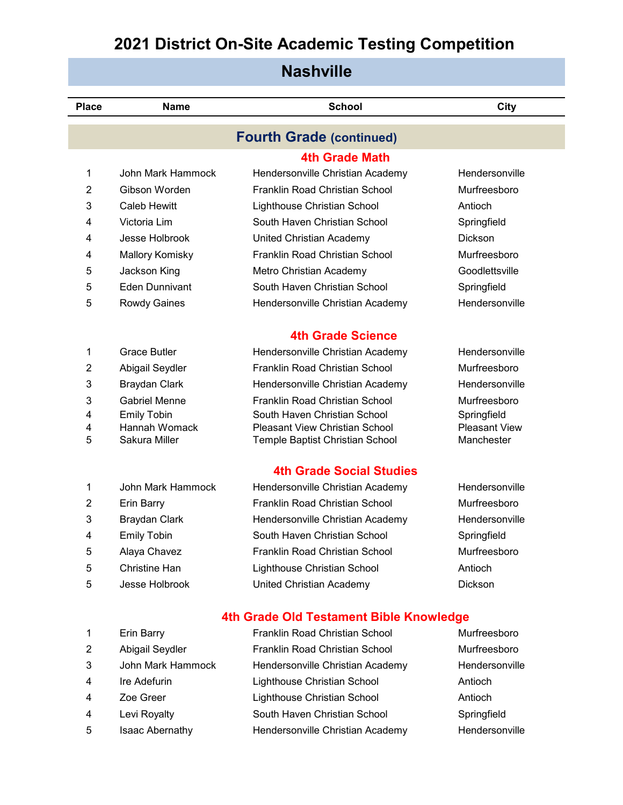| <b>Nashville</b> |                                |                                                                          |                                    |  |
|------------------|--------------------------------|--------------------------------------------------------------------------|------------------------------------|--|
| <b>Place</b>     | <b>Name</b>                    | <b>School</b>                                                            | <b>City</b>                        |  |
|                  |                                | <b>Fourth Grade (continued)</b>                                          |                                    |  |
|                  |                                | <b>4th Grade Math</b>                                                    |                                    |  |
| 1                | John Mark Hammock              | Hendersonville Christian Academy                                         | Hendersonville                     |  |
| $\overline{2}$   | Gibson Worden                  | Franklin Road Christian School                                           | Murfreesboro                       |  |
| 3                | Caleb Hewitt                   | Lighthouse Christian School                                              | Antioch                            |  |
| 4                | Victoria Lim                   | South Haven Christian School                                             | Springfield                        |  |
| 4                | Jesse Holbrook                 | United Christian Academy                                                 | <b>Dickson</b>                     |  |
| 4                | <b>Mallory Komisky</b>         | Franklin Road Christian School                                           | Murfreesboro                       |  |
| 5                | Jackson King                   | Metro Christian Academy                                                  | Goodlettsville                     |  |
| 5                | <b>Eden Dunnivant</b>          | South Haven Christian School                                             | Springfield                        |  |
| 5                | <b>Rowdy Gaines</b>            | Hendersonville Christian Academy                                         | Hendersonville                     |  |
|                  |                                | <b>4th Grade Science</b>                                                 |                                    |  |
| 1                | <b>Grace Butler</b>            | Hendersonville Christian Academy                                         | Hendersonville                     |  |
| $\overline{2}$   | Abigail Seydler                | Franklin Road Christian School                                           | Murfreesboro                       |  |
| 3                | <b>Braydan Clark</b>           | Hendersonville Christian Academy                                         | Hendersonville                     |  |
| 3                | <b>Gabriel Menne</b>           | Franklin Road Christian School                                           | Murfreesboro                       |  |
| 4                | <b>Emily Tobin</b>             | South Haven Christian School                                             | Springfield                        |  |
| 4<br>5           | Hannah Womack<br>Sakura Miller | <b>Pleasant View Christian School</b><br>Temple Baptist Christian School | <b>Pleasant View</b><br>Manchester |  |
|                  |                                |                                                                          |                                    |  |
|                  |                                | <b>4th Grade Social Studies</b>                                          |                                    |  |
| 1                | John Mark Hammock              | Hendersonville Christian Academy                                         | Hendersonville                     |  |
| 2                | <b>Erin Barry</b>              | Franklin Road Christian School                                           | Murfreesboro                       |  |
| 3                | Braydan Clark                  | Hendersonville Christian Academy                                         | Hendersonville                     |  |
| 4                | <b>Emily Tobin</b>             | South Haven Christian School                                             | Springfield                        |  |
| 5                | Alaya Chavez                   | Franklin Road Christian School                                           | Murfreesboro                       |  |
| 5                | <b>Christine Han</b>           | Lighthouse Christian School                                              | Antioch                            |  |
| 5                | Jesse Holbrook                 | United Christian Academy                                                 | Dickson                            |  |
|                  |                                | 4th Grade Old Testament Bible Knowledge                                  |                                    |  |
| 1                | <b>Erin Barry</b>              | <b>Franklin Road Christian School</b>                                    | Murfreesboro                       |  |
| 2                | Abigail Seydler                | Franklin Road Christian School                                           | Murfreesboro                       |  |
| 3                | John Mark Hammock              | Hendersonville Christian Academy                                         | Hendersonville                     |  |
| 4                | Ire Adefurin                   | Lighthouse Christian School                                              | Antioch                            |  |
| 4                | Zoe Greer                      | Lighthouse Christian School                                              | Antioch                            |  |
| 4                | Levi Royalty                   | South Haven Christian School                                             | Springfield                        |  |
| 5                | Isaac Abernathy                | Hendersonville Christian Academy                                         | Hendersonville                     |  |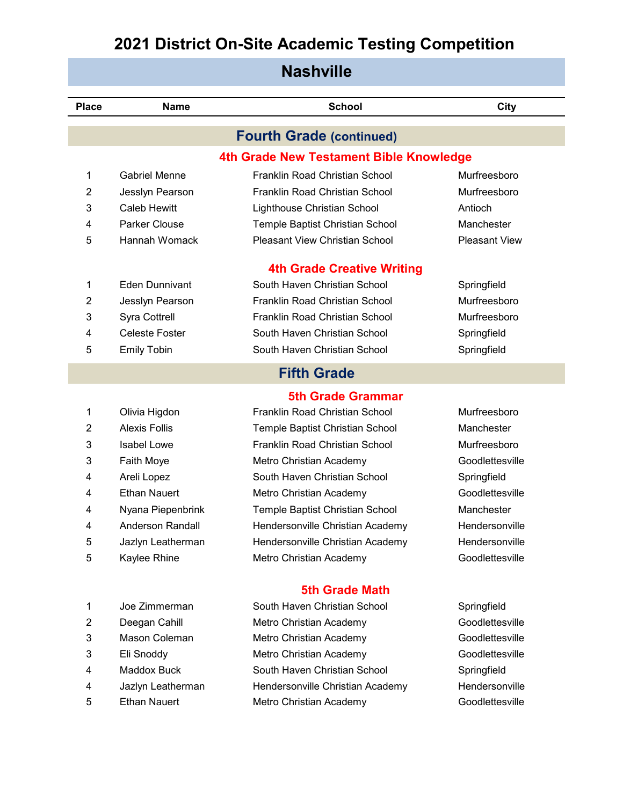| <b>Nashville</b> |                       |                                         |                      |  |
|------------------|-----------------------|-----------------------------------------|----------------------|--|
| <b>Place</b>     | <b>Name</b>           | <b>School</b>                           | <b>City</b>          |  |
|                  |                       | <b>Fourth Grade (continued)</b>         |                      |  |
|                  |                       | 4th Grade New Testament Bible Knowledge |                      |  |
| 1                | <b>Gabriel Menne</b>  | Franklin Road Christian School          | Murfreesboro         |  |
| 2                | Jesslyn Pearson       | Franklin Road Christian School          | Murfreesboro         |  |
| 3                | Caleb Hewitt          | Lighthouse Christian School             | Antioch              |  |
| 4                | <b>Parker Clouse</b>  | Temple Baptist Christian School         | Manchester           |  |
| 5                | Hannah Womack         | <b>Pleasant View Christian School</b>   | <b>Pleasant View</b> |  |
|                  |                       | <b>4th Grade Creative Writing</b>       |                      |  |
| 1                | <b>Eden Dunnivant</b> | South Haven Christian School            | Springfield          |  |
| 2                | Jesslyn Pearson       | Franklin Road Christian School          | Murfreesboro         |  |
| 3                | Syra Cottrell         | Franklin Road Christian School          | Murfreesboro         |  |
| 4                | <b>Celeste Foster</b> | South Haven Christian School            | Springfield          |  |
| 5                | <b>Emily Tobin</b>    | South Haven Christian School            | Springfield          |  |
|                  |                       | <b>Fifth Grade</b>                      |                      |  |
|                  |                       | <b>5th Grade Grammar</b>                |                      |  |
| 1                | Olivia Higdon         | Franklin Road Christian School          | Murfreesboro         |  |
| 2                | <b>Alexis Follis</b>  | Temple Baptist Christian School         | Manchester           |  |
| 3                | Isabel Lowe           | Franklin Road Christian School          | Murfreesboro         |  |
| 3                | Faith Moye            | Metro Christian Academy                 | Goodlettesville      |  |
| 4                | Areli Lopez           | South Haven Christian School            | Springfield          |  |
| 4                | <b>Ethan Nauert</b>   | Metro Christian Academy                 | Goodlettesville      |  |
| 4                | Nyana Piepenbrink     | Temple Baptist Christian School         | Manchester           |  |
| 4                | Anderson Randall      | Hendersonville Christian Academy        | Hendersonville       |  |
| 5                | Jazlyn Leatherman     | Hendersonville Christian Academy        | Hendersonville       |  |
| 5                | Kaylee Rhine          | Metro Christian Academy                 | Goodlettesville      |  |
|                  |                       | <b>5th Grade Math</b>                   |                      |  |
| 1                | Joe Zimmerman         | South Haven Christian School            | Springfield          |  |
| ⌒                | Doogon Cobill         | Motro Christian Apodemy                 | Coodlottoovillo      |  |

2 Deegan Cahill **Metro Christian Academy** Goodlettesville 3 Mason Coleman Metro Christian Academy Goodlettesville Eli Snoddy Metro Christian Academy Goodlettesville Maddox Buck South Haven Christian School Springfield 4 Jazlyn Leatherman Hendersonville Christian Academy Hendersonville 5 Ethan Nauert **Metro Christian Academy** Goodlettesville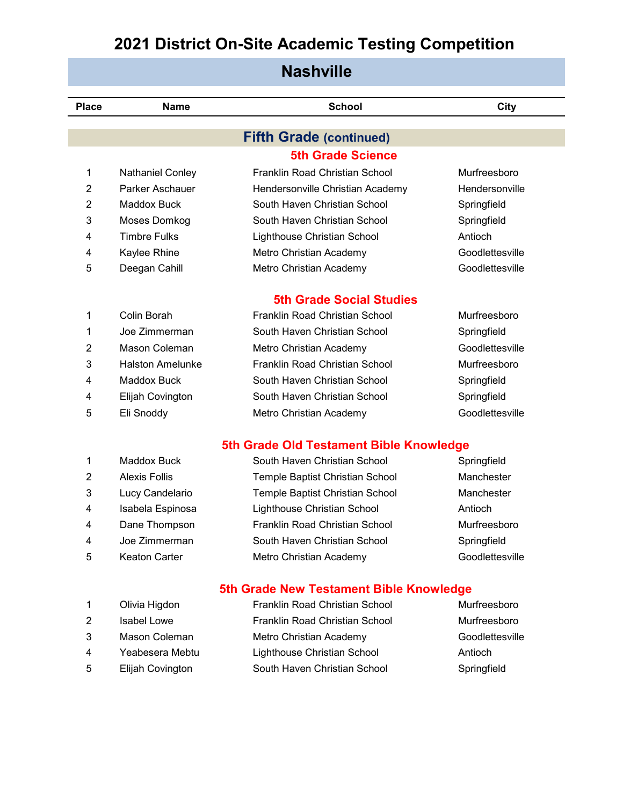| <b>Nashville</b> |                         |                                         |                 |  |  |
|------------------|-------------------------|-----------------------------------------|-----------------|--|--|
| <b>Place</b>     | <b>Name</b>             | <b>School</b>                           | City            |  |  |
|                  |                         | <b>Fifth Grade (continued)</b>          |                 |  |  |
|                  |                         | <b>5th Grade Science</b>                |                 |  |  |
| 1                | <b>Nathaniel Conley</b> | Franklin Road Christian School          | Murfreesboro    |  |  |
| $\overline{2}$   | Parker Aschauer         | Hendersonville Christian Academy        | Hendersonville  |  |  |
| $\overline{2}$   | Maddox Buck             | South Haven Christian School            | Springfield     |  |  |
| 3                | Moses Domkog            | South Haven Christian School            | Springfield     |  |  |
| 4                | <b>Timbre Fulks</b>     | Lighthouse Christian School             | Antioch         |  |  |
| 4                | Kaylee Rhine            | Metro Christian Academy                 | Goodlettesville |  |  |
| 5                | Deegan Cahill           | Metro Christian Academy                 | Goodlettesville |  |  |
|                  |                         | <b>5th Grade Social Studies</b>         |                 |  |  |
| 1                | Colin Borah             | Franklin Road Christian School          | Murfreesboro    |  |  |
| 1                | Joe Zimmerman           | South Haven Christian School            | Springfield     |  |  |
| $\overline{2}$   | Mason Coleman           | Metro Christian Academy                 | Goodlettesville |  |  |
| 3                | <b>Halston Amelunke</b> | Franklin Road Christian School          | Murfreesboro    |  |  |
| 4                | Maddox Buck             | South Haven Christian School            | Springfield     |  |  |
| 4                | Elijah Covington        | South Haven Christian School            | Springfield     |  |  |
| 5                | Eli Snoddy              | Metro Christian Academy                 | Goodlettesville |  |  |
|                  |                         | 5th Grade Old Testament Bible Knowledge |                 |  |  |
| 1                | Maddox Buck             | South Haven Christian School            | Springfield     |  |  |
| 2                | <b>Alexis Follis</b>    | Temple Baptist Christian School         | Manchester      |  |  |
| 3                | Lucy Candelario         | Temple Baptist Christian School         | Manchester      |  |  |
| 4                | Isabela Espinosa        | Lighthouse Christian School             | Antioch         |  |  |
| 4                | Dane Thompson           | Franklin Road Christian School          | Murfreesboro    |  |  |
| 4                | Joe Zimmerman           | South Haven Christian School            | Springfield     |  |  |
| 5                | <b>Keaton Carter</b>    | Metro Christian Academy                 | Goodlettesville |  |  |

#### **5th Grade New Testament Bible Knowledge**

| $\mathbf{1}$ | Olivia Higdon           | Franklin Road Christian School | Murfreesboro    |
|--------------|-------------------------|--------------------------------|-----------------|
| 2            | Isabel Lowe             | Franklin Road Christian School | Murfreesboro    |
| 3            | Mason Coleman           | Metro Christian Academy        | Goodlettesville |
| 4            | Yeabesera Mebtu         | Lighthouse Christian School    | Antioch         |
| -5           | <b>Elijah Covington</b> | South Haven Christian School   | Springfield     |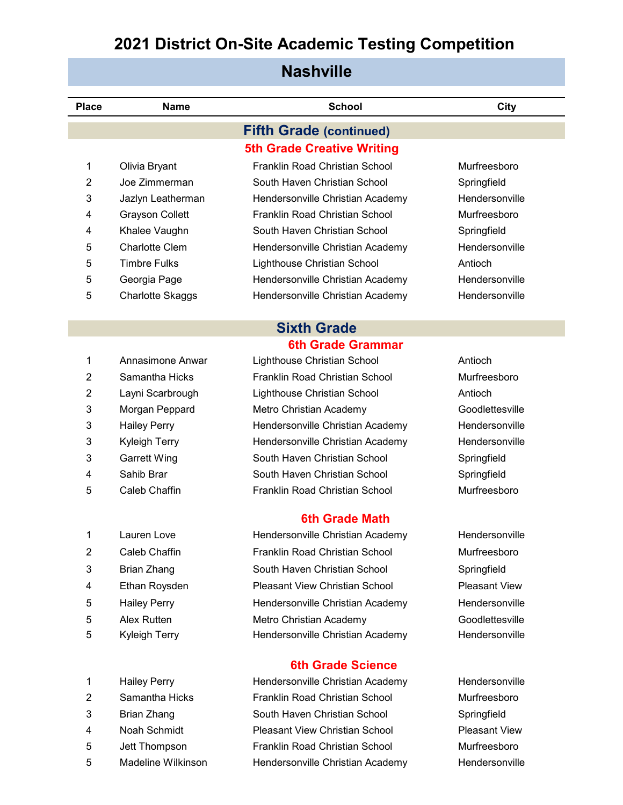#### **Nashville**

| <b>Place</b>              | <b>Name</b>             | <b>School</b>                         | City                 |
|---------------------------|-------------------------|---------------------------------------|----------------------|
|                           |                         | <b>Fifth Grade (continued)</b>        |                      |
|                           |                         | <b>5th Grade Creative Writing</b>     |                      |
| 1                         | Olivia Bryant           | Franklin Road Christian School        | Murfreesboro         |
| 2                         | Joe Zimmerman           | South Haven Christian School          | Springfield          |
| 3                         | Jazlyn Leatherman       | Hendersonville Christian Academy      | Hendersonville       |
| 4                         | <b>Grayson Collett</b>  | Franklin Road Christian School        | Murfreesboro         |
| 4                         | Khalee Vaughn           | South Haven Christian School          | Springfield          |
| 5                         | Charlotte Clem          | Hendersonville Christian Academy      | Hendersonville       |
| 5                         | <b>Timbre Fulks</b>     | Lighthouse Christian School           | Antioch              |
| 5                         | Georgia Page            | Hendersonville Christian Academy      | Hendersonville       |
| 5                         | <b>Charlotte Skaggs</b> | Hendersonville Christian Academy      | Hendersonville       |
|                           |                         | <b>Sixth Grade</b>                    |                      |
|                           |                         | <b>6th Grade Grammar</b>              |                      |
| 1                         | Annasimone Anwar        | Lighthouse Christian School           | Antioch              |
| $\overline{2}$            | Samantha Hicks          | Franklin Road Christian School        | Murfreesboro         |
| $\overline{2}$            | Layni Scarbrough        | Lighthouse Christian School           | Antioch              |
| 3                         | Morgan Peppard          | Metro Christian Academy               | Goodlettesville      |
| $\ensuremath{\mathsf{3}}$ | <b>Hailey Perry</b>     | Hendersonville Christian Academy      | Hendersonville       |
| 3                         | <b>Kyleigh Terry</b>    | Hendersonville Christian Academy      | Hendersonville       |
| $\ensuremath{\mathsf{3}}$ | <b>Garrett Wing</b>     | South Haven Christian School          | Springfield          |
| 4                         | Sahib Brar              | South Haven Christian School          | Springfield          |
| 5                         | <b>Caleb Chaffin</b>    | Franklin Road Christian School        | Murfreesboro         |
|                           |                         | <b>6th Grade Math</b>                 |                      |
| 1                         | Lauren Love             | Hendersonville Christian Academy      | Hendersonville       |
| 2                         | Caleb Chaffin           | Franklin Road Christian School        | Murfreesboro         |
| 3                         | <b>Brian Zhang</b>      | South Haven Christian School          | Springfield          |
| 4                         | Ethan Roysden           | <b>Pleasant View Christian School</b> | <b>Pleasant View</b> |
| 5                         | <b>Hailey Perry</b>     | Hendersonville Christian Academy      | Hendersonville       |

- 
- 
- 
- 
- 
- 
- 
- 

5 Alex Rutten Metro Christian Academy Goodlettesville 5 Kyleigh Terry **Hendersonville Christian Academy** Hendersonville

#### **6th Grade Science**

1 Hailey Perry **Hendersonville Christian Academy** Hendersonville 2 Samantha Hicks Franklin Road Christian School Murfreesboro Brian Zhang South Haven Christian School Springfield Noah Schmidt Pleasant View Christian School Pleasant View Jett Thompson Franklin Road Christian School Murfreesboro 5 Madeline Wilkinson Hendersonville Christian Academy Hendersonville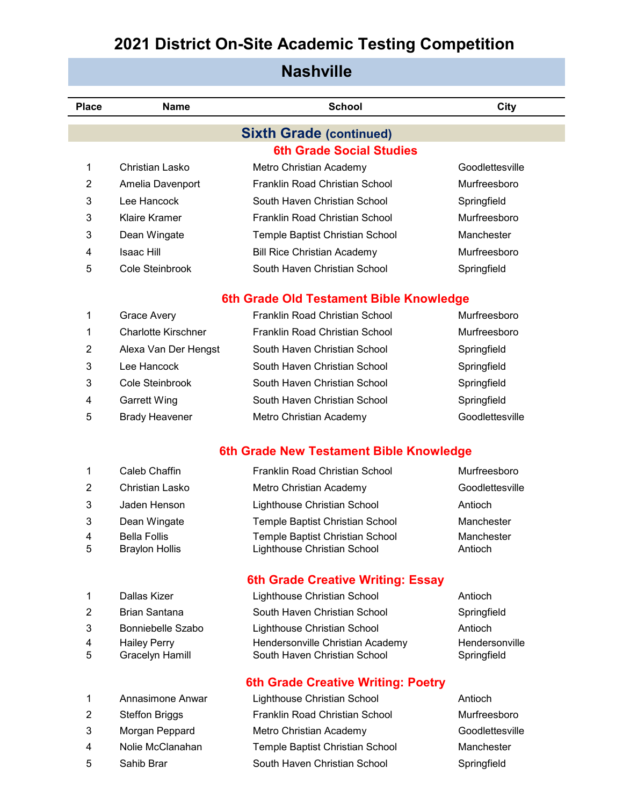| <b>Nashville</b> |                                         |                                         |                 |  |  |
|------------------|-----------------------------------------|-----------------------------------------|-----------------|--|--|
| <b>Place</b>     | <b>Name</b>                             | <b>School</b>                           | City            |  |  |
|                  |                                         | <b>Sixth Grade (continued)</b>          |                 |  |  |
|                  |                                         | <b>6th Grade Social Studies</b>         |                 |  |  |
| 1                | Christian Lasko                         | Metro Christian Academy                 | Goodlettesville |  |  |
| 2                | Amelia Davenport                        | Franklin Road Christian School          | Murfreesboro    |  |  |
| 3                | Lee Hancock                             | South Haven Christian School            | Springfield     |  |  |
| 3                | <b>Klaire Kramer</b>                    | Franklin Road Christian School          | Murfreesboro    |  |  |
| 3                | Dean Wingate                            | Temple Baptist Christian School         | Manchester      |  |  |
| 4                | <b>Isaac Hill</b>                       | <b>Bill Rice Christian Academy</b>      | Murfreesboro    |  |  |
| 5                | Cole Steinbrook                         | South Haven Christian School            | Springfield     |  |  |
|                  | 6th Grade Old Testament Bible Knowledge |                                         |                 |  |  |
| 1                | Grace Avery                             | Franklin Road Christian School          | Murfreesboro    |  |  |
| 1                | <b>Charlotte Kirschner</b>              | Franklin Road Christian School          | Murfreesboro    |  |  |
| 2                | Alexa Van Der Hengst                    | South Haven Christian School            | Springfield     |  |  |
| 3                | Lee Hancock                             | South Haven Christian School            | Springfield     |  |  |
| 3                | Cole Steinbrook                         | South Haven Christian School            | Springfield     |  |  |
| 4                | <b>Garrett Wing</b>                     | South Haven Christian School            | Springfield     |  |  |
| 5                | <b>Brady Heavener</b>                   | Metro Christian Academy                 | Goodlettesville |  |  |
|                  |                                         | 6th Grade New Testament Bible Knowledge |                 |  |  |
| 1                | Caleb Chaffin                           | Franklin Road Christian School          | Murfreesboro    |  |  |
| 2                | Christian Lasko                         | Metro Christian Academy                 | Goodlettesville |  |  |
| 3                | Jaden Henson                            | Lighthouse Christian School             | Antioch         |  |  |
| 3                | Dean Wingate                            | Temple Baptist Christian School         | Manchester      |  |  |
| 4                | <b>Bella Follis</b>                     | Temple Baptist Christian School         | Manchester      |  |  |
| 5                | <b>Braylon Hollis</b>                   | Lighthouse Christian School             | Antioch         |  |  |
|                  |                                         | 6th Grade Creative Writing: Essay       |                 |  |  |
| 1                | Dallas Kizer                            | Lighthouse Christian School             | Antioch         |  |  |
| 2                | <b>Brian Santana</b>                    | South Haven Christian School            | Springfield     |  |  |
| 3                | <b>Bonniebelle Szabo</b>                | Lighthouse Christian School             | Antioch         |  |  |
| 4                | <b>Hailey Perry</b>                     | Hendersonville Christian Academy        | Hendersonville  |  |  |

- 5 Gracelyn Hamill South Haven Christian School Springfield
- 
- 
- 
- 
- **6th Grade Creative Writing: Poetry** Annasimone Anwar Lighthouse Christian School Antioch
- 2 Steffon Briggs **Franklin Road Christian School** Murfreesboro Morgan Peppard Metro Christian Academy Goodlettesville Nolie McClanahan Temple Baptist Christian School Manchester 5 Sahib Brar South Haven Christian School Springfield
-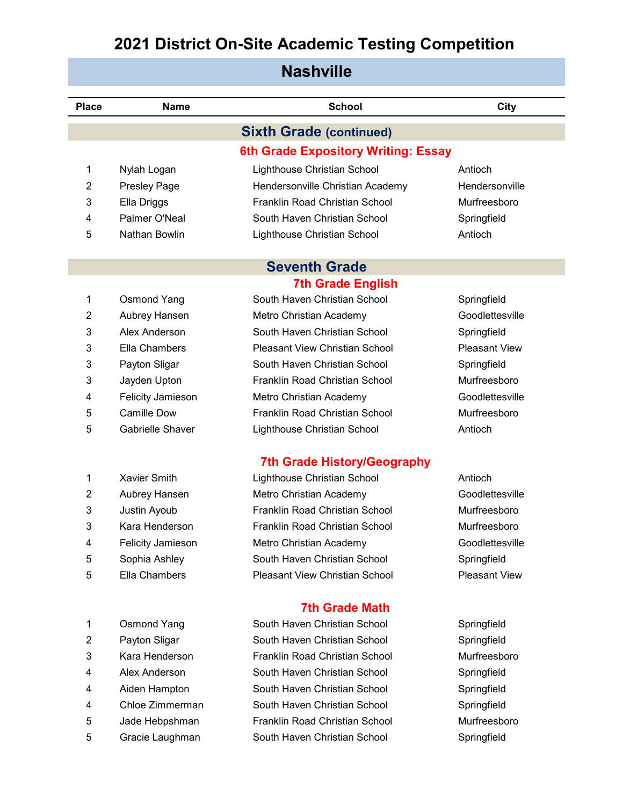| <b>Nashville</b> |                                    |                                       |                      |  |  |
|------------------|------------------------------------|---------------------------------------|----------------------|--|--|
|                  |                                    |                                       |                      |  |  |
| Place            | <b>Name</b>                        | <b>School</b>                         | City                 |  |  |
|                  |                                    | <b>Sixth Grade (continued)</b>        |                      |  |  |
|                  |                                    | 6th Grade Expository Writing: Essay   |                      |  |  |
| 1                | Nylah Logan                        | Lighthouse Christian School           | Antioch              |  |  |
| 2                | Presley Page                       | Hendersonville Christian Academy      | Hendersonville       |  |  |
| 3                | Ella Driggs                        | Franklin Road Christian School        | Murfreesboro         |  |  |
| 4                | Palmer O'Neal                      | South Haven Christian School          | Springfield          |  |  |
| 5                | Nathan Bowlin                      | Lighthouse Christian School           | Antioch              |  |  |
|                  |                                    |                                       |                      |  |  |
|                  |                                    | <b>Seventh Grade</b>                  |                      |  |  |
|                  |                                    | <b>7th Grade English</b>              |                      |  |  |
| 1                | <b>Osmond Yang</b>                 | South Haven Christian School          | Springfield          |  |  |
| 2                | Aubrey Hansen                      | Metro Christian Academy               | Goodlettesville      |  |  |
| 3                | Alex Anderson                      | South Haven Christian School          | Springfield          |  |  |
| 3                | Ella Chambers                      | <b>Pleasant View Christian School</b> | <b>Pleasant View</b> |  |  |
| 3                | Payton Sligar                      | South Haven Christian School          | Springfield          |  |  |
| 3                | Jayden Upton                       | Franklin Road Christian School        | Murfreesboro         |  |  |
| 4                | Felicity Jamieson                  | Metro Christian Academy               | Goodlettesville      |  |  |
| 5                | <b>Camille Dow</b>                 | Franklin Road Christian School        | Murfreesboro         |  |  |
| 5                | <b>Gabrielle Shaver</b>            | Lighthouse Christian School           | Antioch              |  |  |
|                  |                                    |                                       |                      |  |  |
|                  | <b>7th Grade History/Geography</b> |                                       |                      |  |  |

|   | AQVIGI OIIIIUI           |
|---|--------------------------|
| 2 | <b>Aubrey Hansen</b>     |
| 3 | Justin Ayoub             |
| 3 | Kara Henderson           |
| 4 | <b>Felicity Jamieson</b> |
| 5 | Sophia Ashley            |
| 5 | Ella Chambers            |

| <b>Osmond Yang</b><br>-1 |  |
|--------------------------|--|
|--------------------------|--|

- 
- 
- 
- 
- 
- 
- 

1 Xavier Smith **Lighthouse Christian School** Antioch Metro Christian Academy Goodlettesville **Franklin Road Christian School Murfreesboro** Franklin Road Christian School Murfreesboro Metro Christian Academy Goodlettesville South Haven Christian School Springfield Pleasant View Christian School Pleasant View

#### **7th Grade Math**

South Haven Christian School Springfield 2 Payton Sligar South Haven Christian School Springfield Kara Henderson Franklin Road Christian School Murfreesboro Alex Anderson South Haven Christian School Springfield Aiden Hampton South Haven Christian School Springfield Chloe Zimmerman South Haven Christian School Springfield Jade Hebpshman Franklin Road Christian School Murfreesboro Gracie Laughman South Haven Christian School Springfield

- 
-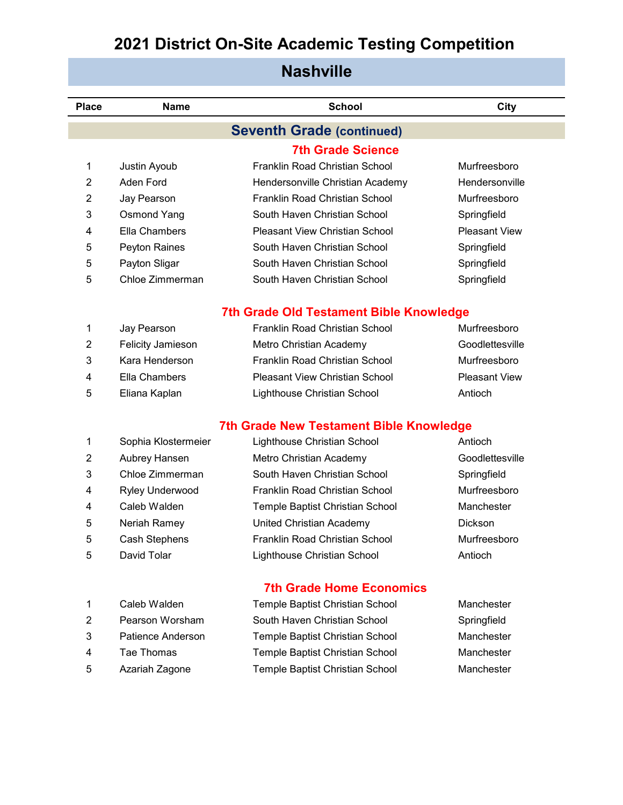#### **Place Name School City Nashville 7th Grade Science** Justin Ayoub Franklin Road Christian School Murfreesboro 2 Aden Ford **Hendersonville Christian Academy** Hendersonville Jay Pearson Franklin Road Christian School Murfreesboro Osmond Yang South Haven Christian School Springfield Ella Chambers Pleasant View Christian School Pleasant View Peyton Raines South Haven Christian School Springfield Payton Sligar South Haven Christian School Springfield Chloe Zimmerman South Haven Christian School Springfield **7th Grade Old Testament Bible Knowledge** Jay Pearson Franklin Road Christian School Murfreesboro 2 Felicity Jamieson Metro Christian Academy Goodlettesville Kara Henderson Franklin Road Christian School Murfreesboro Ella Chambers Pleasant View Christian School Pleasant View Eliana Kaplan Lighthouse Christian School Antioch **7th Grade New Testament Bible Knowledge** Sophia Klostermeier Lighthouse Christian School Antioch 2 Aubrey Hansen Metro Christian Academy Goodlettesville **Seventh Grade (continued)**

| 2 | Aubrey Hansen          | Metro Christian Academy         | Goodlettesville |
|---|------------------------|---------------------------------|-----------------|
| 3 | Chloe Zimmerman        | South Haven Christian School    | Springfield     |
| 4 | <b>Ryley Underwood</b> | Franklin Road Christian School  | Murfreesboro    |
| 4 | Caleb Walden           | Temple Baptist Christian School | Manchester      |
| 5 | Neriah Ramey           | United Christian Academy        | <b>Dickson</b>  |
| 5 | <b>Cash Stephens</b>   | Franklin Road Christian School  | Murfreesboro    |
| 5 | David Tolar            | Lighthouse Christian School     | Antioch         |
|   |                        |                                 |                 |

#### **7th Grade Home Economics**

|    | Caleb Walden      | Temple Baptist Christian School | Manchester  |
|----|-------------------|---------------------------------|-------------|
| 2  | Pearson Worsham   | South Haven Christian School    | Springfield |
| 3  | Patience Anderson | Temple Baptist Christian School | Manchester  |
| 4  | Tae Thomas        | Temple Baptist Christian School | Manchester  |
| -5 | Azariah Zagone    | Temple Baptist Christian School | Manchester  |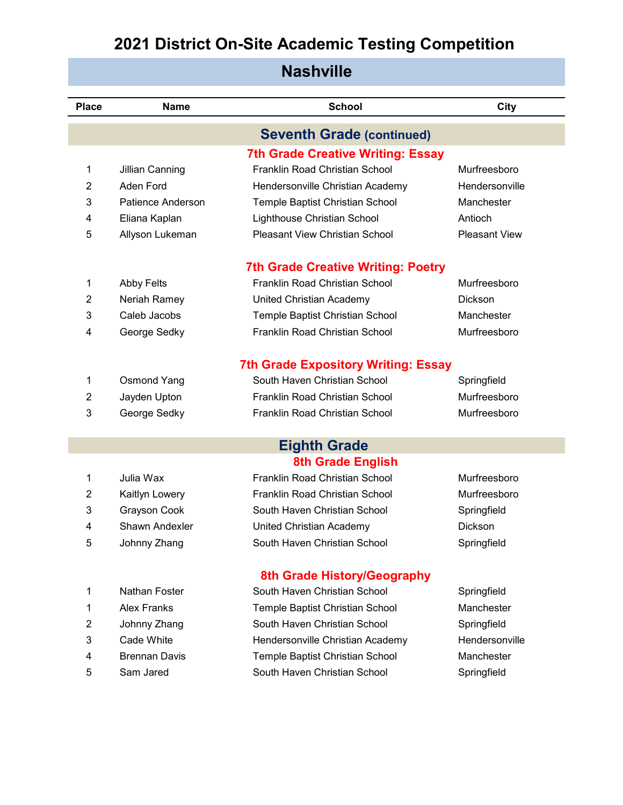| <b>Nashville</b> |                    |                                            |                      |  |
|------------------|--------------------|--------------------------------------------|----------------------|--|
| <b>Place</b>     | <b>Name</b>        | <b>School</b>                              | City                 |  |
|                  |                    | <b>Seventh Grade (continued)</b>           |                      |  |
|                  |                    | <b>7th Grade Creative Writing: Essay</b>   |                      |  |
| 1                | Jillian Canning    | <b>Franklin Road Christian School</b>      | Murfreesboro         |  |
| 2                | Aden Ford          | Hendersonville Christian Academy           | Hendersonville       |  |
| 3                | Patience Anderson  | Temple Baptist Christian School            | Manchester           |  |
| 4                | Eliana Kaplan      | Lighthouse Christian School                | Antioch              |  |
| 5                | Allyson Lukeman    | <b>Pleasant View Christian School</b>      | <b>Pleasant View</b> |  |
|                  |                    | <b>7th Grade Creative Writing: Poetry</b>  |                      |  |
| 1                | <b>Abby Felts</b>  | <b>Franklin Road Christian School</b>      | Murfreesboro         |  |
| $\overline{2}$   | Neriah Ramey       | United Christian Academy                   | <b>Dickson</b>       |  |
| 3                | Caleb Jacobs       | Temple Baptist Christian School            | Manchester           |  |
| 4                | George Sedky       | <b>Franklin Road Christian School</b>      | Murfreesboro         |  |
|                  |                    | <b>7th Grade Expository Writing: Essay</b> |                      |  |
| 1                | <b>Osmond Yang</b> | South Haven Christian School               | Springfield          |  |
| 2                | Jayden Upton       | Franklin Road Christian School             | Murfreesboro         |  |
| 3                | George Sedky       | Franklin Road Christian School             | Murfreesboro         |  |
|                  |                    |                                            |                      |  |
|                  |                    | <b>Eighth Grade</b>                        |                      |  |
|                  |                    | <b>8th Grade English</b>                   |                      |  |
| 1                | Julia Wax          | Franklin Road Christian School             | Murfreesboro         |  |
| 2                | Kaitlyn Lowery     | Franklin Road Christian School             | Murfreesboro         |  |

Grayson Cook South Haven Christian School Springfield

- 4 Shawn Andexler **Diriculary United Christian Academy** Dickson
- Johnny Zhang South Haven Christian School Springfield

| -1 | Nathan Foster |
|----|---------------|
| -1 | Alex Franks   |

- 
- 
- 
- 

# **8th Grade History/Geography**

|    | Nathan Foster        | South Haven Christian School     | Springfield    |
|----|----------------------|----------------------------------|----------------|
| 1. | <b>Alex Franks</b>   | Temple Baptist Christian School  | Manchester     |
| 2  | Johnny Zhang         | South Haven Christian School     | Springfield    |
| 3  | Cade White           | Hendersonville Christian Academy | Hendersonville |
| 4  | <b>Brennan Davis</b> | Temple Baptist Christian School  | Manchester     |
| 5  | Sam Jared            | South Haven Christian School     | Springfield    |
|    |                      |                                  |                |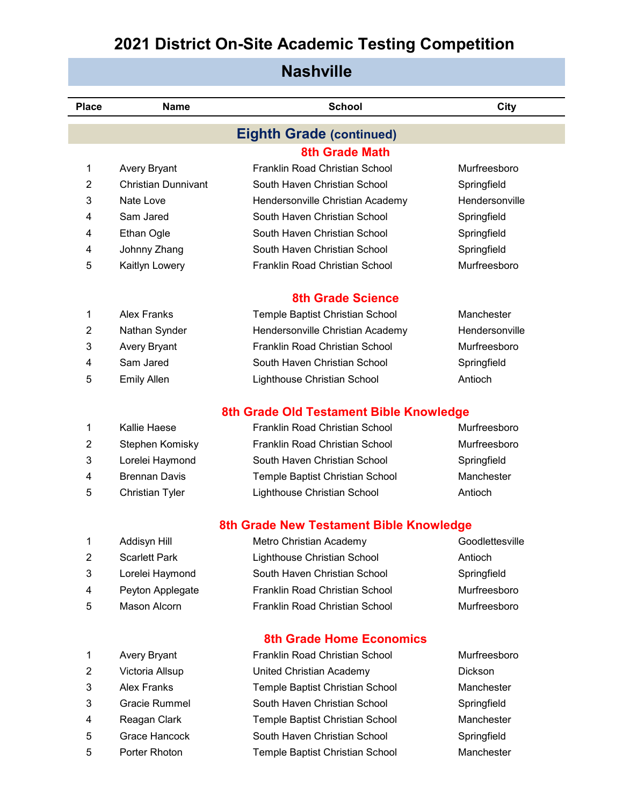| <b>Nashville</b> |                            |                                         |                 |  |
|------------------|----------------------------|-----------------------------------------|-----------------|--|
| <b>Place</b>     | <b>Name</b>                | <b>School</b>                           | City            |  |
|                  |                            | <b>Eighth Grade (continued)</b>         |                 |  |
|                  |                            | <b>8th Grade Math</b>                   |                 |  |
| 1                | Avery Bryant               | Franklin Road Christian School          | Murfreesboro    |  |
| 2                | <b>Christian Dunnivant</b> | South Haven Christian School            | Springfield     |  |
| 3                | Nate Love                  | Hendersonville Christian Academy        | Hendersonville  |  |
| 4                | Sam Jared                  | South Haven Christian School            | Springfield     |  |
| 4                | Ethan Ogle                 | South Haven Christian School            | Springfield     |  |
| 4                | Johnny Zhang               | South Haven Christian School            | Springfield     |  |
| 5                | Kaitlyn Lowery             | Franklin Road Christian School          | Murfreesboro    |  |
|                  |                            | <b>8th Grade Science</b>                |                 |  |
| 1                | <b>Alex Franks</b>         | Temple Baptist Christian School         | Manchester      |  |
| 2                | Nathan Synder              | Hendersonville Christian Academy        | Hendersonville  |  |
| 3                | <b>Avery Bryant</b>        | Franklin Road Christian School          | Murfreesboro    |  |
| 4                | Sam Jared                  | South Haven Christian School            | Springfield     |  |
| 5                | <b>Emily Allen</b>         | Lighthouse Christian School             | Antioch         |  |
|                  |                            | 8th Grade Old Testament Bible Knowledge |                 |  |
| 1                | Kallie Haese               | <b>Franklin Road Christian School</b>   | Murfreesboro    |  |
| 2                | Stephen Komisky            | Franklin Road Christian School          | Murfreesboro    |  |
| 3                | Lorelei Haymond            | South Haven Christian School            | Springfield     |  |
| 4                | <b>Brennan Davis</b>       | Temple Baptist Christian School         | Manchester      |  |
| 5                | <b>Christian Tyler</b>     | Lighthouse Christian School             | Antioch         |  |
|                  |                            | 8th Grade New Testament Bible Knowledge |                 |  |
| 1                | Addisyn Hill               | Metro Christian Academy                 | Goodlettesville |  |
| 2                | <b>Scarlett Park</b>       | Lighthouse Christian School             | Antioch         |  |
| 3                | Lorelei Haymond            | South Haven Christian School            | Springfield     |  |
| 4                | Peyton Applegate           | Franklin Road Christian School          | Murfreesboro    |  |
| 5                | Mason Alcorn               | Franklin Road Christian School          | Murfreesboro    |  |
|                  |                            | <b>8th Grade Home Economics</b>         |                 |  |
| 1                | Avery Bryant               | Franklin Road Christian School          | Murfreesboro    |  |
| $\overline{2}$   | Victoria Allsup            | United Christian Academy                | Dickson         |  |
| 3                | <b>Alex Franks</b>         | Temple Baptist Christian School         | Manchester      |  |
| 3                | Gracie Rummel              | South Haven Christian School            | Springfield     |  |
| 4                | Reagan Clark               | Temple Baptist Christian School         | Manchester      |  |
| 5                | Grace Hancock              | South Haven Christian School            | Springfield     |  |

Porter Rhoton Temple Baptist Christian School Manchester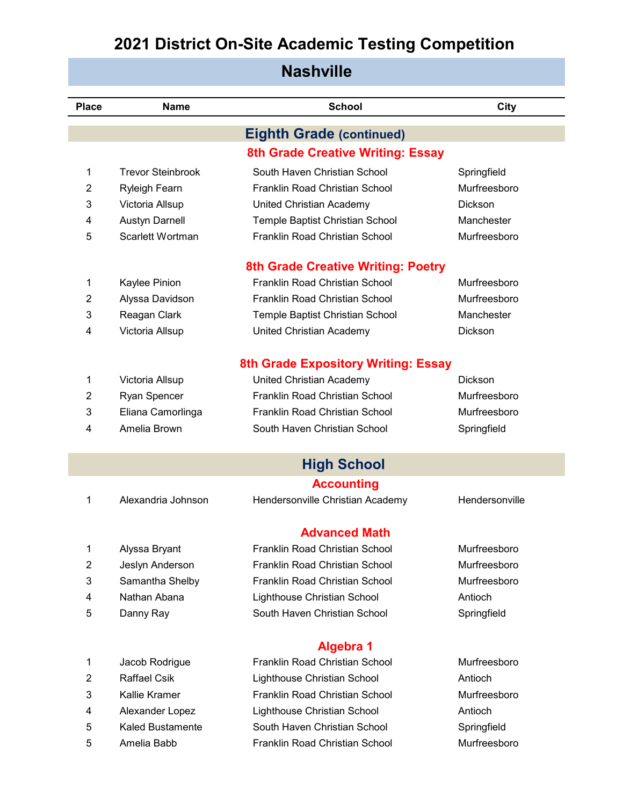| <b>Nashville</b> |
|------------------|
|------------------|

| <b>Place</b> | <b>Name</b>              | <b>School</b>                             | <b>City</b>    |
|--------------|--------------------------|-------------------------------------------|----------------|
|              |                          | <b>Eighth Grade (continued)</b>           |                |
|              |                          | <b>8th Grade Creative Writing: Essay</b>  |                |
| 1            | <b>Trevor Steinbrook</b> | South Haven Christian School              | Springfield    |
| 2            | <b>Ryleigh Fearn</b>     | Franklin Road Christian School            | Murfreesboro   |
| 3            | Victoria Allsup          | United Christian Academy                  | Dickson        |
| 4            | <b>Austyn Darnell</b>    | Temple Baptist Christian School           | Manchester     |
| 5            | Scarlett Wortman         | Franklin Road Christian School            | Murfreesboro   |
|              |                          | <b>8th Grade Creative Writing: Poetry</b> |                |
| 1            | Kaylee Pinion            | Franklin Road Christian School            | Murfreesboro   |
| 2            | Alyssa Davidson          | Franklin Road Christian School            | Murfreesboro   |
| 3            | Reagan Clark             | Temple Baptist Christian School           | Manchester     |
| 4            | Victoria Allsup          | United Christian Academy                  | Dickson        |
|              |                          | 8th Grade Expository Writing: Essay       |                |
| 1            | Victoria Allsup          | United Christian Academy                  | Dickson        |
| 2            | <b>Ryan Spencer</b>      | Franklin Road Christian School            | Murfreesboro   |
| 3            | Eliana Camorlinga        | Franklin Road Christian School            | Murfreesboro   |
| 4            | Amelia Brown             | South Haven Christian School              | Springfield    |
|              |                          | <b>High School</b>                        |                |
|              |                          | <b>Accounting</b>                         |                |
| 1            | Alexandria Johnson       | Hendersonville Christian Academy          | Hendersonville |
|              |                          | <b>Advanced Math</b>                      |                |
| 1            | Alyssa Bryant            | Franklin Road Christian School            | Murfreesboro   |
| 2            | Jeslyn Anderson          | Franklin Road Christian School            | Murfreesboro   |
| 3            | Samantha Shelby          | Franklin Road Christian School            | Murfreesboro   |
| 4            | Nathan Abana             | Lighthouse Christian School               | Antioch        |
| 5            | Danny Ray                | South Haven Christian School              | Springfield    |
|              |                          |                                           |                |
|              |                          | <b>Algebra 1</b>                          |                |
| 1            | Jacob Rodrigue           | Franklin Road Christian School            | Murfreesboro   |
| 2            | <b>Raffael Csik</b>      | Lighthouse Christian School               | Antioch        |

- 
- 
- 
- 
- Kallie Kramer Franklin Road Christian School Murfreesboro Alexander Lopez Lighthouse Christian School Antioch Kaled Bustamente South Haven Christian School Springfield Amelia Babb Franklin Road Christian School Murfreesboro
-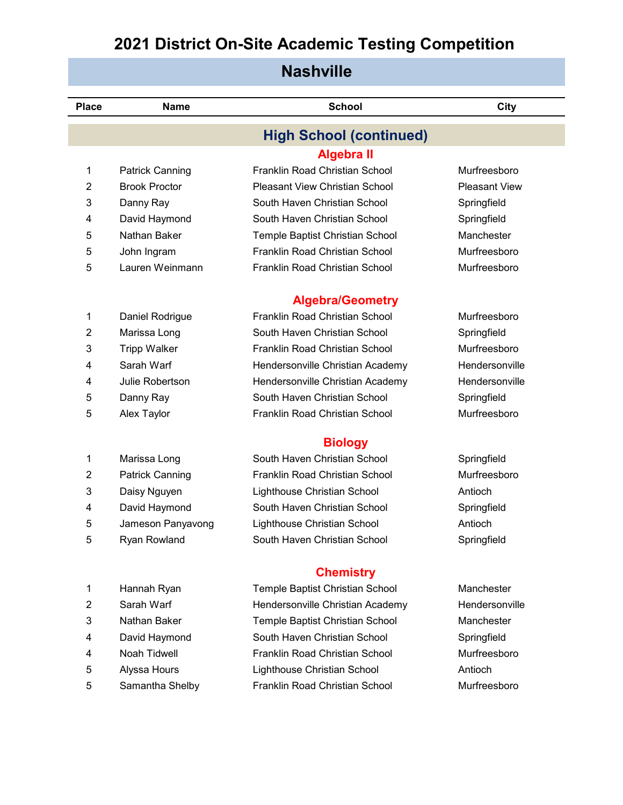| <b>Nashville</b> |                        |                                       |                      |  |
|------------------|------------------------|---------------------------------------|----------------------|--|
| <b>Place</b>     | <b>Name</b>            | <b>School</b>                         | City                 |  |
|                  |                        | <b>High School (continued)</b>        |                      |  |
|                  |                        | <b>Algebra II</b>                     |                      |  |
| 1                | <b>Patrick Canning</b> | Franklin Road Christian School        | Murfreesboro         |  |
| $\overline{2}$   | <b>Brook Proctor</b>   | <b>Pleasant View Christian School</b> | <b>Pleasant View</b> |  |
| 3                | Danny Ray              | South Haven Christian School          | Springfield          |  |
| 4                | David Haymond          | South Haven Christian School          | Springfield          |  |
| 5                | Nathan Baker           | Temple Baptist Christian School       | Manchester           |  |
| 5                | John Ingram            | Franklin Road Christian School        | Murfreesboro         |  |
| 5                | Lauren Weinmann        | Franklin Road Christian School        | Murfreesboro         |  |
|                  |                        | <b>Algebra/Geometry</b>               |                      |  |
| 1                | Daniel Rodrigue        | Franklin Road Christian School        | Murfreesboro         |  |
| $\overline{2}$   | Marissa Long           | South Haven Christian School          | Springfield          |  |
| 3                | <b>Tripp Walker</b>    | Franklin Road Christian School        | Murfreesboro         |  |
| 4                | Sarah Warf             | Hendersonville Christian Academy      | Hendersonville       |  |
| 4                | Julie Robertson        | Hendersonville Christian Academy      | Hendersonville       |  |
| 5                | Danny Ray              | South Haven Christian School          | Springfield          |  |
| 5                | Alex Taylor            | Franklin Road Christian School        | Murfreesboro         |  |
|                  |                        | <b>Biology</b>                        |                      |  |
| 1                | Marissa Long           | South Haven Christian School          | Springfield          |  |
| $\overline{2}$   | <b>Patrick Canning</b> | Franklin Road Christian School        | Murfreesboro         |  |
| 3                | Daisy Nguyen           | Lighthouse Christian School           | Antioch              |  |
| 4                | David Haymond          | South Haven Christian School          | Springfield          |  |
| 5                | Jameson Panyavong      | Lighthouse Christian School           | Antioch              |  |
| 5                | Ryan Rowland           | South Haven Christian School          | Springfield          |  |
|                  |                        | <b>Chemistry</b>                      |                      |  |
| 1                | Hannah Ryan            | Temple Baptist Christian School       | Manchester           |  |
| $\overline{2}$   | Sarah Warf             | Hendersonville Christian Academy      | Hendersonville       |  |
| 3                | Nathan Baker           | Temple Baptist Christian School       | Manchester           |  |
| 4                | David Haymond          | South Haven Christian School          | Springfield          |  |
| 4                | <b>Noah Tidwell</b>    | Franklin Road Christian School        | Murfreesboro         |  |
| 5                | Alyssa Hours           | Lighthouse Christian School           | Antioch              |  |
| 5                | Samantha Shelby        | Franklin Road Christian School        | Murfreesboro         |  |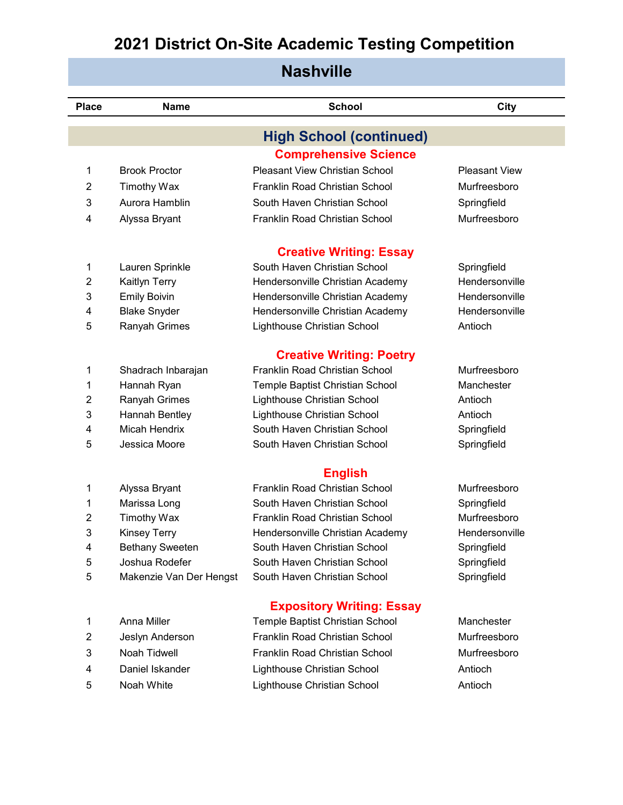| <b>Nashville</b> |                         |                                       |                      |  |
|------------------|-------------------------|---------------------------------------|----------------------|--|
| <b>Place</b>     | <b>Name</b>             | <b>School</b>                         | <b>City</b>          |  |
|                  |                         | <b>High School (continued)</b>        |                      |  |
|                  |                         | <b>Comprehensive Science</b>          |                      |  |
| 1                | <b>Brook Proctor</b>    | <b>Pleasant View Christian School</b> | <b>Pleasant View</b> |  |
| 2                | <b>Timothy Wax</b>      | Franklin Road Christian School        | Murfreesboro         |  |
| 3                | Aurora Hamblin          | South Haven Christian School          | Springfield          |  |
| 4                | Alyssa Bryant           | Franklin Road Christian School        | Murfreesboro         |  |
|                  |                         | <b>Creative Writing: Essay</b>        |                      |  |
| 1                | Lauren Sprinkle         | South Haven Christian School          | Springfield          |  |
| $\overline{2}$   | Kaitlyn Terry           | Hendersonville Christian Academy      | Hendersonville       |  |
| 3                | <b>Emily Boivin</b>     | Hendersonville Christian Academy      | Hendersonville       |  |
| 4                | <b>Blake Snyder</b>     | Hendersonville Christian Academy      | Hendersonville       |  |
| 5                | Ranyah Grimes           | Lighthouse Christian School           | Antioch              |  |
|                  |                         | <b>Creative Writing: Poetry</b>       |                      |  |
| 1                | Shadrach Inbarajan      | Franklin Road Christian School        | Murfreesboro         |  |
| 1                | Hannah Ryan             | Temple Baptist Christian School       | Manchester           |  |
| 2                | Ranyah Grimes           | Lighthouse Christian School           | Antioch              |  |
| 3                | Hannah Bentley          | Lighthouse Christian School           | Antioch              |  |
| 4                | Micah Hendrix           | South Haven Christian School          | Springfield          |  |
| 5                | Jessica Moore           | South Haven Christian School          | Springfield          |  |
|                  |                         | <b>English</b>                        |                      |  |
| 1                | Alyssa Bryant           | Franklin Road Christian School        | Murfreesboro         |  |
| 1                | Marissa Long            | South Haven Christian School          | Springfield          |  |
| 2                | <b>Timothy Wax</b>      | Franklin Road Christian School        | Murfreesboro         |  |
| 3                | <b>Kinsey Terry</b>     | Hendersonville Christian Academy      | Hendersonville       |  |
| 4                | <b>Bethany Sweeten</b>  | South Haven Christian School          | Springfield          |  |
| 5                | Joshua Rodefer          | South Haven Christian School          | Springfield          |  |
| 5                | Makenzie Van Der Hengst | South Haven Christian School          | Springfield          |  |
|                  |                         | <b>Expository Writing: Essay</b>      |                      |  |
| 1                | Anna Miller             | Temple Baptist Christian School       | Manchester           |  |
| $\overline{2}$   | Jeslyn Anderson         | Franklin Road Christian School        | Murfreesboro         |  |

- 
- 
- 

 Noah Tidwell Franklin Road Christian School Murfreesboro Daniel Iskander Lighthouse Christian School Antioch Noah White Lighthouse Christian School Antioch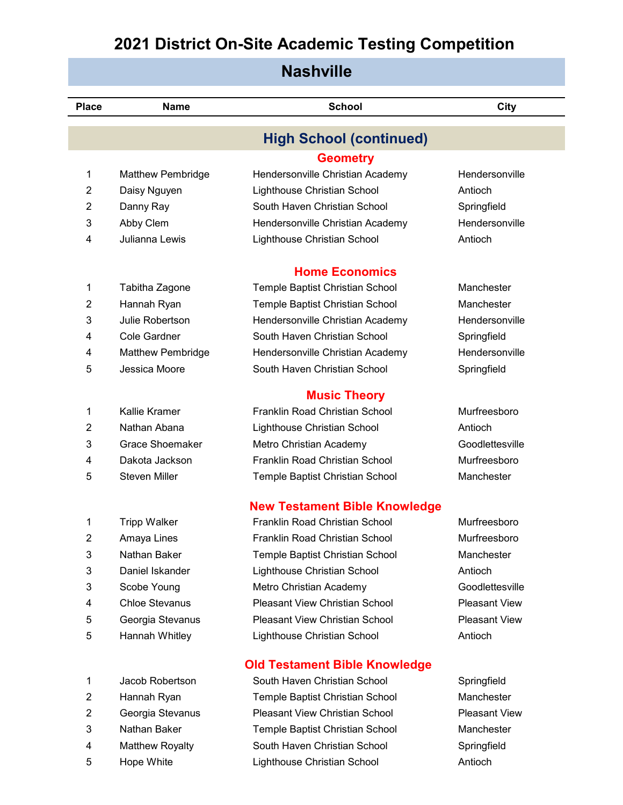| <b>Nashville</b> |                          |                                       |                      |  |
|------------------|--------------------------|---------------------------------------|----------------------|--|
| <b>Place</b>     | <b>Name</b>              | <b>School</b>                         | <b>City</b>          |  |
|                  |                          | <b>High School (continued)</b>        |                      |  |
|                  |                          | <b>Geometry</b>                       |                      |  |
| 1                | Matthew Pembridge        | Hendersonville Christian Academy      | Hendersonville       |  |
| 2                | Daisy Nguyen             | Lighthouse Christian School           | Antioch              |  |
| $\overline{2}$   | Danny Ray                | South Haven Christian School          | Springfield          |  |
| 3                | Abby Clem                | Hendersonville Christian Academy      | Hendersonville       |  |
| 4                | Julianna Lewis           | Lighthouse Christian School           | Antioch              |  |
|                  |                          | <b>Home Economics</b>                 |                      |  |
| 1                | Tabitha Zagone           | Temple Baptist Christian School       | Manchester           |  |
| 2                | Hannah Ryan              | Temple Baptist Christian School       | Manchester           |  |
| 3                | Julie Robertson          | Hendersonville Christian Academy      | Hendersonville       |  |
| 4                | <b>Cole Gardner</b>      | South Haven Christian School          | Springfield          |  |
| 4                | <b>Matthew Pembridge</b> | Hendersonville Christian Academy      | Hendersonville       |  |
| 5                | Jessica Moore            | South Haven Christian School          | Springfield          |  |
|                  |                          | <b>Music Theory</b>                   |                      |  |
| 1                | <b>Kallie Kramer</b>     | Franklin Road Christian School        | Murfreesboro         |  |
| 2                | Nathan Abana             | Lighthouse Christian School           | Antioch              |  |
| 3                | <b>Grace Shoemaker</b>   | Metro Christian Academy               | Goodlettesville      |  |
| 4                | Dakota Jackson           | Franklin Road Christian School        | Murfreesboro         |  |
| 5                | <b>Steven Miller</b>     | Temple Baptist Christian School       | Manchester           |  |
|                  |                          | <b>New Testament Bible Knowledge</b>  |                      |  |
| 1                | <b>Tripp Walker</b>      | Franklin Road Christian School        | Murfreesboro         |  |
| $\overline{2}$   | Amaya Lines              | Franklin Road Christian School        | Murfreesboro         |  |
| 3                | Nathan Baker             | Temple Baptist Christian School       | Manchester           |  |
| 3                | Daniel Iskander          | Lighthouse Christian School           | Antioch              |  |
| 3                | Scobe Young              | Metro Christian Academy               | Goodlettesville      |  |
| 4                | <b>Chloe Stevanus</b>    | <b>Pleasant View Christian School</b> | <b>Pleasant View</b> |  |
| 5                | Georgia Stevanus         | <b>Pleasant View Christian School</b> | <b>Pleasant View</b> |  |
| 5                | Hannah Whitley           | Lighthouse Christian School           | Antioch              |  |
|                  |                          | <b>Old Testament Bible Knowledge</b>  |                      |  |
| 1                | Jacob Robertson          | South Haven Christian School          | Springfield          |  |
| 2                | Hannah Ryan              | Temple Baptist Christian School       | Manchester           |  |
| $\overline{2}$   | Georgia Stevanus         | Pleasant View Christian School        | <b>Pleasant View</b> |  |

- 
- 
- Hope White Lighthouse Christian School Antioch
- Nathan Baker Temple Baptist Christian School Manchester 4 Matthew Royalty South Haven Christian School Springfield